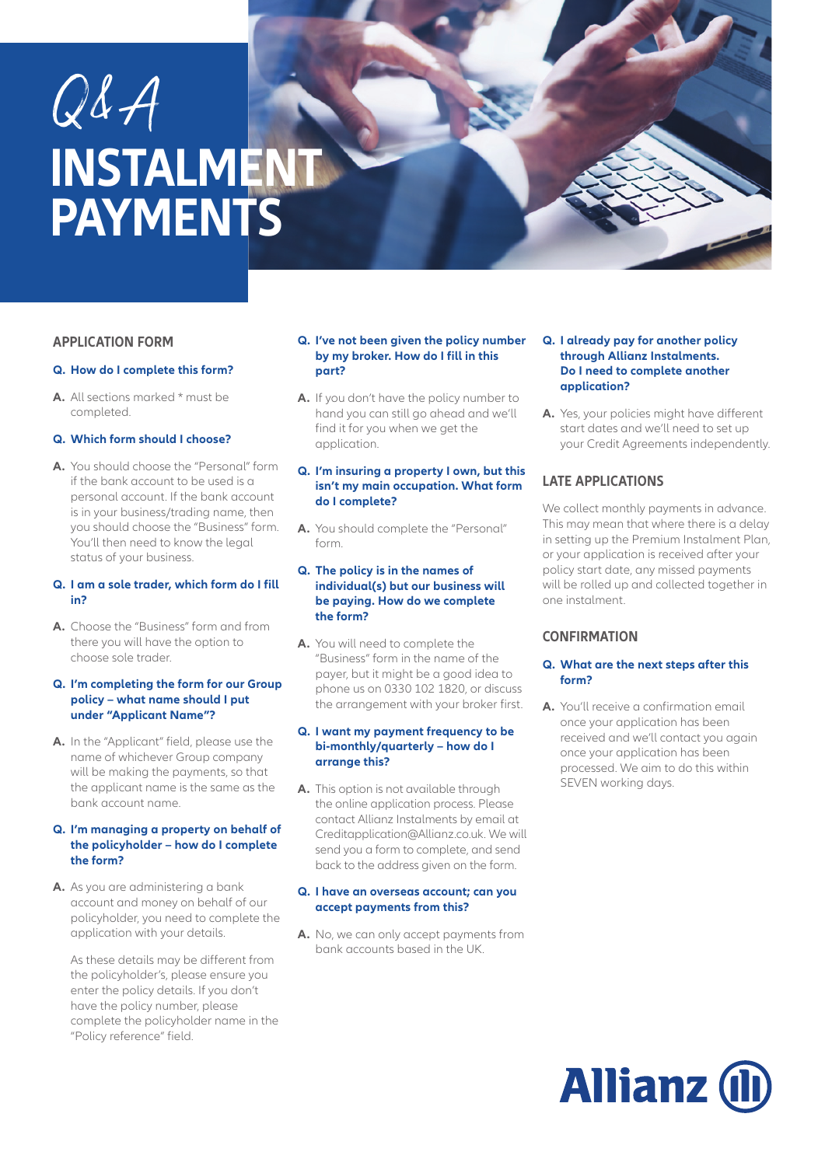# Q&A **INSTALMENT PAYMENTS**

#### **APPLICATION FORM**

#### **Q. How do I complete this form?**

**A.** All sections marked \* must be completed.

#### **Q. Which form should I choose?**

**A.** You should choose the "Personal" form if the bank account to be used is a personal account. If the bank account is in your business/trading name, then you should choose the "Business" form. You'll then need to know the legal status of your business.

#### **Q. I am a sole trader, which form do I fill in?**

**A.** Choose the "Business" form and from there you will have the option to choose sole trader.

#### **Q. I'm completing the form for our Group policy – what name should I put under "Applicant Name"?**

**A.** In the "Applicant" field, please use the name of whichever Group company will be making the payments, so that the applicant name is the same as the bank account name.

#### **Q. I'm managing a property on behalf of the policyholder – how do I complete the form?**

**A.** As you are administering a bank account and money on behalf of our policyholder, you need to complete the application with your details.

 As these details may be different from the policyholder's, please ensure you enter the policy details. If you don't have the policy number, please complete the policyholder name in the "Policy reference" field.

#### **Q. I've not been given the policy number by my broker. How do I fill in this part?**

- **A.** If you don't have the policy number to hand you can still go ahead and we'll find it for you when we get the application.
- **Q. I'm insuring a property I own, but this isn't my main occupation. What form do I complete?**
- **A.** You should complete the "Personal" form.

#### **Q. The policy is in the names of individual(s) but our business will be paying. How do we complete the form?**

**A.** You will need to complete the "Business" form in the name of the payer, but it might be a good idea to phone us on 0330 102 1820, or discuss the arrangement with your broker first.

#### **Q. I want my payment frequency to be bi-monthly/quarterly – how do I arrange this?**

**A.** This option is not available through the online application process. Please contact Allianz Instalments by email at Creditapplication@Allianz.co.uk. We will send you a form to complete, and send back to the address given on the form.

#### **Q. I have an overseas account; can you accept payments from this?**

**A.** No, we can only accept payments from bank accounts based in the UK.

#### **Q. I already pay for another policy through Allianz Instalments. Do I need to complete another application?**

**A.** Yes, your policies might have different start dates and we'll need to set up your Credit Agreements independently.

# **LATE APPLICATIONS**

We collect monthly payments in advance. This may mean that where there is a delay in setting up the Premium Instalment Plan, or your application is received after your policy start date, any missed payments will be rolled up and collected together in one instalment.

## **CONFIRMATION**

#### **Q. What are the next steps after this form?**

**A.** You'll receive a confirmation email once your application has been received and we'll contact you again once your application has been processed. We aim to do this within SEVEN working days.

# **Allianz (II**